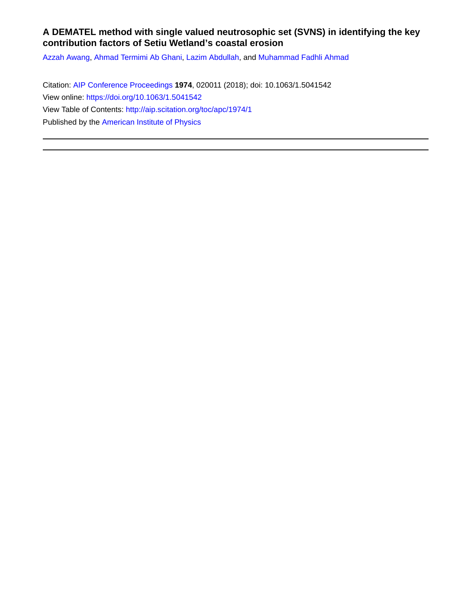## **A DEMATEL method with single valued neutrosophic set (SVNS) in identifying the key contribution factors of Setiu Wetland's coastal erosion**

[Azzah Awang](http://aip.scitation.org/author/Awang%2C+Azzah), [Ahmad Termimi Ab Ghani,](http://aip.scitation.org/author/Ghani%2C+Ahmad+Termimi+Ab) [Lazim Abdullah,](http://aip.scitation.org/author/Abdullah%2C+Lazim) and [Muhammad Fadhli Ahmad](http://aip.scitation.org/author/Ahmad%2C+Muhammad+Fadhli)

Citation: [AIP Conference Proceedings](/loi/apc) **1974**, 020011 (2018); doi: 10.1063/1.5041542 View online: <https://doi.org/10.1063/1.5041542> View Table of Contents: <http://aip.scitation.org/toc/apc/1974/1> Published by the [American Institute of Physics](http://aip.scitation.org/publisher/)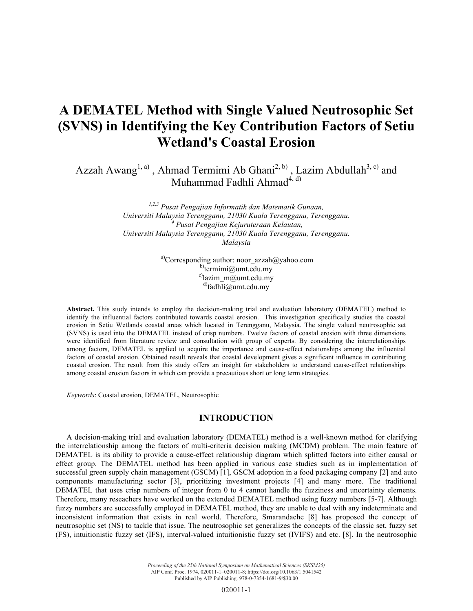# **A DEMATEL Method with Single Valued Neutrosophic Set (SVNS) in Identifying the Key Contribution Factors of Setiu Wetland's Coastal Erosion**

Azzah Awang<sup>1, a)</sup>, Ahmad Termimi Ab Ghani<sup>2, b)</sup>, Lazim Abdullah<sup>3, c)</sup> and Muhammad Fadhli Ahmad<sup>4, d)</sup>

> *1,2,3 Pusat Pengajian Informatik dan Matematik Gunaan, Universiti Malaysia Terengganu, 21030 Kuala Terengganu, Terengganu. 4 Pusat Pengajian Kejuruteraan Kelautan, Universiti Malaysia Terengganu, 21030 Kuala Terengganu, Terengganu. Malaysia*

> > <sup>a)</sup>Corresponding author: noor  $azzah@yahoo.com$  $b)$ termimi@umt.edu.my  $c)$ lazim m@umt.edu.my  $d$ fadhli@umt.edu.my

**Abstract.** This study intends to employ the decision-making trial and evaluation laboratory (DEMATEL) method to identify the influential factors contributed towards coastal erosion. This investigation specifically studies the coastal erosion in Setiu Wetlands coastal areas which located in Terengganu, Malaysia. The single valued neutrosophic set (SVNS) is used into the DEMATEL instead of crisp numbers. Twelve factors of coastal erosion with three dimensions were identified from literature review and consultation with group of experts. By considering the interrelationships among factors, DEMATEL is applied to acquire the importance and cause-effect relationships among the influential factors of coastal erosion. Obtained result reveals that coastal development gives a significant influence in contributing coastal erosion. The result from this study offers an insight for stakeholders to understand cause-effect relationships among coastal erosion factors in which can provide a precautious short or long term strategies.

*Keywords*: Coastal erosion, DEMATEL, Neutrosophic

## **INTRODUCTION**

A decision-making trial and evaluation laboratory (DEMATEL) method is a well-known method for clarifying the interrelationship among the factors of multi-criteria decision making (MCDM) problem. The main feature of DEMATEL is its ability to provide a cause-effect relationship diagram which splitted factors into either causal or effect group. The DEMATEL method has been applied in various case studies such as in implementation of successful green supply chain management (GSCM) [1], GSCM adoption in a food packaging company [2] and auto components manufacturing sector [3], prioritizing investment projects [4] and many more. The traditional DEMATEL that uses crisp numbers of integer from 0 to 4 cannot handle the fuzziness and uncertainty elements. Therefore, many reseachers have worked on the extended DEMATEL method using fuzzy numbers [5-7]. Although fuzzy numbers are successfully employed in DEMATEL method, they are unable to deal with any indeterminate and inconsistent information that exists in real world. Therefore, Smarandache [8] has proposed the concept of neutrosophic set (NS) to tackle that issue. The neutrosophic set generalizes the concepts of the classic set, fuzzy set (FS), intuitionistic fuzzy set (IFS), interval-valued intuitionistic fuzzy set (IVIFS) and etc. [8]. In the neutrosophic

> *Proceeding of the 25th National Symposium on Mathematical Sciences (SKSM25)* AIP Conf. Proc. 1974, 020011-1–020011-8; https://doi.org/10.1063/1.5041542 Published by AIP Publishing. 978-0-7354-1681-9/\$30.00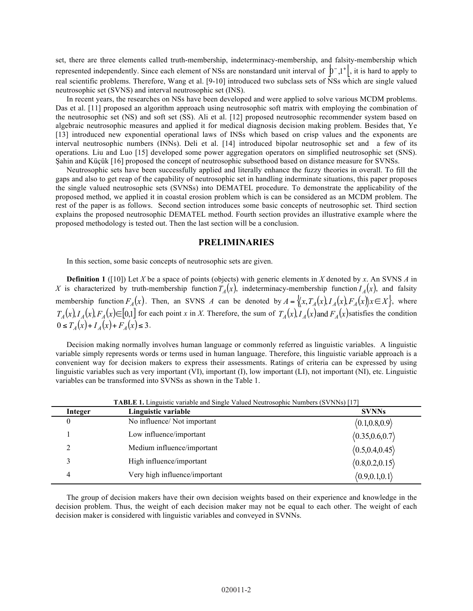set, there are three elements called truth-membership, indeterminacy-membership, and falsity-membership which represented independently. Since each element of NSs are nonstandard unit interval of  $\mathfrak{b}^{-1}$ , it is hard to apply to real scientific problems. Therefore, Wang et al. [9-10] introduced two subclass sets of NSs which are single valued neutrosophic set (SVNS) and interval neutrosophic set (INS).

In recent years, the researches on NSs have been developed and were applied to solve various MCDM problems. Das et al. [11] proposed an algorithm approach using neutrosophic soft matrix with employing the combination of the neutrosophic set (NS) and soft set (SS). Ali et al. [12] proposed neutrosophic recommender system based on algebraic neutrosophic measures and applied it for medical diagnosis decision making problem. Besides that, Ye [13] introduced new exponential operational laws of INSs which based on crisp values and the exponents are interval neutrosophic numbers (INNs). Deli et al. [14] introduced bipolar neutrosophic set and a few of its operations. Liu and Luo [15] developed some power aggregation operators on simplified neutrosophic set (SNS). Şahin and Küçük [16] proposed the concept of neutrosophic subsethood based on distance measure for SVNSs.

Neutrosophic sets have been successfully applied and literally enhance the fuzzy theories in overall. To fill the gaps and also to get reap of the capability of neutrosophic set in handling inderminate situations, this paper proposes the single valued neutrosophic sets (SVNSs) into DEMATEL procedure. To demonstrate the applicability of the proposed method, we applied it in coastal erosion problem which is can be considered as an MCDM problem. The rest of the paper is as follows. Second section introduces some basic concepts of neutrosophic set. Third section explains the proposed neutrosophic DEMATEL method. Fourth section provides an illustrative example where the proposed methodology is tested out. Then the last section will be a conclusion.

#### **PRELIMINARIES**

In this section, some basic concepts of neutrosophic sets are given.

**Definition 1** ([10]) Let *X* be a space of points (objects) with generic elements in *X* denoted by *x*. An SVNS *A* in *X* is characterized by truth-membership function  $T_A(x)$ , indeterminacy-membership function  $I_A(x)$ , and falsity membership function  $F_A(x)$ . Then, an SVNS *A* can be denoted by  $A = \{(x, T_A(x), I_A(x), F_A(x) | x \in X\}$ , where  $T_A(x) I_A(x) F_A(x) \in [0,1]$  for each point x in X. Therefore, the sum of  $T_A(x) I_A(x)$  and  $F_A(x)$  satisfies the condition  $0 \le T_A(x) + I_A(x) + F_A(x) \le 3$ .

Decision making normally involves human language or commonly referred as linguistic variables. A linguistic variable simply represents words or terms used in human language. Therefore, this linguistic variable approach is a convenient way for decision makers to express their assessments. Ratings of criteria can be expressed by using linguistic variables such as very important (VI), important (I), low important (LI), not important (NI), etc. Linguistic variables can be transformed into SVNSs as shown in the Table 1.

| Integer  | Linguistic variable           | <b>SVNNs</b>     |
|----------|-------------------------------|------------------|
| $\theta$ | No influence/ Not important   | (0.1, 0.8, 0.9)  |
|          | Low influence/important       | (0.35, 0.6, 0.7) |
|          | Medium influence/important    | (0.5, 0.4, 0.45) |
|          | High influence/important      | (0.8, 0.2, 0.15) |
| 4        | Very high influence/important | (0.9, 0.1, 0.1)  |

**TABLE 1.** Linguistic variable and Single Valued Neutrosophic Numbers (SVNNs) [17]

The group of decision makers have their own decision weights based on their experience and knowledge in the decision problem. Thus, the weight of each decision maker may not be equal to each other. The weight of each decision maker is considered with linguistic variables and conveyed in SVNNs.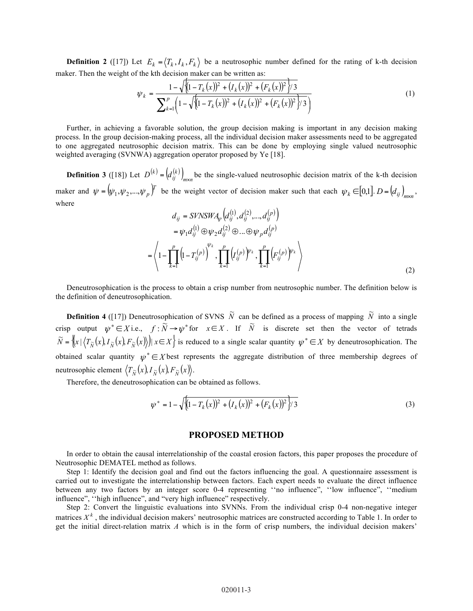**Definition 2** ([17]) Let  $E_k = \langle T_k, I_k, F_k \rangle$  be a neutrosophic number defined for the rating of k-th decision maker. Then the weight of the kth decision maker can be written as:

$$
\psi_k = \frac{1 - \sqrt{\left(1 - T_k(x)\right)^2 + (I_k(x))^2 + (F_k(x))^2\right)/3}}{\sum_{k=1}^p \left(1 - \sqrt{\left(1 - T_k(x)\right)^2 + (I_k(x))^2 + (F_k(x))^2\right)/3}}
$$
\n(1)

Further, in achieving a favorable solution, the group decision making is important in any decision making process. In the group decision-making process, all the individual decision maker assessments need to be aggregated to one aggregated neutrosophic decision matrix. This can be done by employing single valued neutrosophic weighted averaging (SVNWA) aggregation operator proposed by Ye [18].

**Definition 3** ([18]) Let  $D^{(k)} = (d_{ij}^{(k)})_{m \times n}$  be the single-valued neutrosophic decision matrix of the k-th decision maker and  $\psi = (\psi_1, \psi_2, ..., \psi_p)^T$  be the weight vector of decision maker such that each  $\psi_k \in [0,1]$ .  $D = (d_{ij})_{m \times n}$ , where

$$
d_{ij} = SVNSWA_{\psi}\left(d_{ij}^{(1)}, d_{ij}^{(2)}, ..., d_{ij}^{(p)}\right) = \psi_1 d_{ij}^{(1)} \oplus \psi_2 d_{ij}^{(2)} \oplus ... \oplus \psi_p d_{ij}^{(p)} = \left\langle 1 - \prod_{k=1}^p \left(1 - T_{ij}^{(p)}\right)^{\psi_k}, \prod_{k=1}^p \left( I_{ij}^{(p)} \right)^{\psi_k}, \prod_{k=1}^p \left( F_{ij}^{(p)} \right)^{\psi_k} \right\rangle
$$
(2)

Deneutrosophication is the process to obtain a crisp number from neutrosophic number. The definition below is the definition of deneutrosophication.

**Definition 4** ([17]) Deneutrosophication of SVNS  $\tilde{N}$  can be defined as a process of mapping  $\tilde{N}$  into a single crisp output  $\psi^* \in X$  i.e.,  $f : \overline{N} \to \psi^*$  for  $x \in X$ . If  $\overline{N}$  is discrete set then the vector of tetrads  $\widetilde{N} = \left\{ (x | (T_{\widetilde{N}}(x), I_{\widetilde{N}}(x), F_{\widetilde{N}}(x))) | x \in X \right\}$  is reduced to a single scalar quantity  $\psi^* \in X$  by deneutrosophication. The obtained scalar quantity  $\psi^* \in X$  best represents the aggregate distribution of three membership degrees of neutrosophic element  $\langle T_{\tilde{N}}(x), I_{\tilde{N}}(x), F_{\tilde{N}}(x) \rangle$ .

Therefore, the deneutrosophication can be obtained as follows.

$$
\psi^* = 1 - \sqrt{\left(1 - T_k(x)\right)^2 + \left(I_k(x)\right)^2 + \left(F_k(x)\right)^2\right)/3}
$$
\n(3)

#### **PROPOSED METHOD**

In order to obtain the causal interrelationship of the coastal erosion factors, this paper proposes the procedure of Neutrosophic DEMATEL method as follows.

Step 1: Identify the decision goal and find out the factors influencing the goal. A questionnaire assessment is carried out to investigate the interrelationship between factors. Each expert needs to evaluate the direct influence between any two factors by an integer score 0-4 representing ''no influence", ''low influence", ''medium influence", ''high influence", and "very high influence" respectively.

Step 2: Convert the linguistic evaluations into SVNNs. From the individual crisp 0-4 non-negative integer matrices  $X<sup>k</sup>$ , the individual decision makers' neutrosophic matrices are constructed according to Table 1. In order to get the initial direct-relation matrix *A* which is in the form of crisp numbers, the individual decision makers'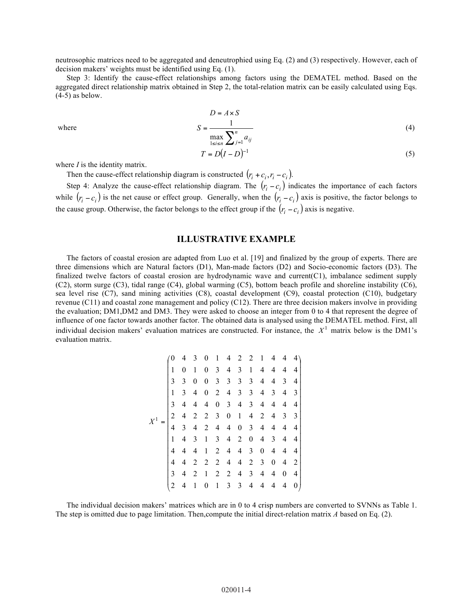neutrosophic matrices need to be aggregated and deneutrophied using Eq. (2) and (3) respectively. However, each of decision makers' weights must be identified using Eq. (1).

Step 3: Identify the cause-effect relationships among factors using the DEMATEL method. Based on the aggregated direct relationship matrix obtained in Step 2, the total-relation matrix can be easily calculated using Eqs.  $(4-5)$  as below.

where

$$
D = A \times S
$$
  

$$
S = \frac{1}{\max_{1 \le i \le n} \sum_{j=1}^{n} a_{ij}}
$$
 (4)

$$
T = D(I - D)^{-1} \tag{5}
$$

where *I* is the identity matrix.

Then the cause-effect relationship diagram is constructed  $(r_i + c_i, r_i - c_i)$ .

Step 4: Analyze the cause-effect relationship diagram. The  $(r_i - c_i)$  indicates the importance of each factors while  $(r_i - c_i)$  is the net cause or effect group. Generally, when the  $(r_i - c_i)$  axis is positive, the factor belongs to the cause group. Otherwise, the factor belongs to the effect group if the  $(r_i - c_i)$  axis is negative.

## **ILLUSTRATIVE EXAMPLE**

The factors of coastal erosion are adapted from Luo et al. [19] and finalized by the group of experts. There are three dimensions which are Natural factors (D1), Man-made factors (D2) and Socio-economic factors (D3). The finalized twelve factors of coastal erosion are hydrodynamic wave and current(C1), imbalance sediment supply (C2), storm surge (C3), tidal range (C4), global warming (C5), bottom beach profile and shoreline instability (C6), sea level rise (C7), sand mining activities (C8), coastal development (C9), coastal protection (C10), budgetary revenue (C11) and coastal zone management and policy (C12). There are three decision makers involve in providing the evaluation; DM1,DM2 and DM3. They were asked to choose an integer from 0 to 4 that represent the degree of influence of one factor towards another factor. The obtained data is analysed using the DEMATEL method. First, all individual decision makers' evaluation matrices are constructed. For instance, the  $X<sup>1</sup>$  matrix below is the DM1's evaluation matrix.

$$
X^{1} = \begin{pmatrix}\n0 & 4 & 3 & 0 & 1 & 4 & 2 & 2 & 1 & 4 & 4 & 4 \\
1 & 0 & 1 & 0 & 3 & 4 & 3 & 1 & 4 & 4 & 4 & 4 \\
3 & 3 & 0 & 0 & 3 & 3 & 3 & 3 & 4 & 4 & 3 & 4 \\
1 & 3 & 4 & 0 & 2 & 4 & 3 & 3 & 4 & 3 & 4 & 3 \\
3 & 4 & 4 & 4 & 0 & 3 & 4 & 3 & 4 & 4 & 4 & 4 \\
2 & 4 & 2 & 2 & 3 & 0 & 1 & 4 & 2 & 4 & 3 & 3 \\
4 & 3 & 4 & 2 & 4 & 4 & 0 & 3 & 4 & 4 & 4 & 4 \\
1 & 4 & 3 & 1 & 3 & 4 & 2 & 0 & 4 & 3 & 4 & 4 \\
4 & 4 & 4 & 1 & 2 & 4 & 4 & 3 & 0 & 4 & 4 & 4 \\
4 & 4 & 2 & 2 & 2 & 4 & 4 & 2 & 3 & 0 & 4 & 2 \\
3 & 4 & 2 & 1 & 2 & 2 & 4 & 3 & 4 & 4 & 0 & 4 \\
2 & 4 & 1 & 0 & 1 & 3 & 3 & 4 & 4 & 4 & 4 & 0\n\end{pmatrix}
$$

The individual decision makers' matrices which are in 0 to 4 crisp numbers are converted to SVNNs as Table 1. The step is omitted due to page limitation. Then,compute the initial direct-relation matrix *A* based on Eq. (2).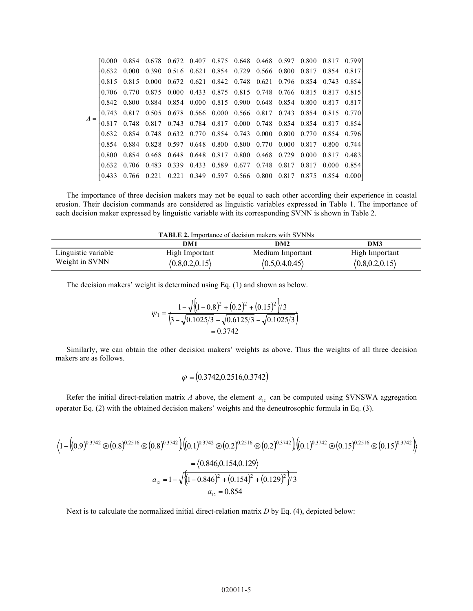|       |       |             |  |  | 0.854 0.678 0.672 0.407 0.875 0.648 0.468 0.597 0.800 0.817 0.799]                                                            |  |  |  |
|-------|-------|-------------|--|--|-------------------------------------------------------------------------------------------------------------------------------|--|--|--|
|       |       |             |  |  | 0.632 0.000 0.390 0.516 0.621 0.854 0.729 0.566 0.800 0.817 0.854 0.817                                                       |  |  |  |
|       |       |             |  |  | 0.815 0.815 0.000 0.672 0.621 0.842 0.748 0.621 0.796 0.854 0.743 0.854                                                       |  |  |  |
|       |       | 0.706 0.770 |  |  | 0.875 0.000 0.433 0.875 0.815 0.748 0.766 0.815 0.817 0.815                                                                   |  |  |  |
|       |       |             |  |  | 0.842 0.800 0.884 0.854 0.000 0.815 0.900 0.648 0.854 0.800 0.817 0.817                                                       |  |  |  |
| $A =$ |       |             |  |  | $\begin{bmatrix} 0.743 & 0.817 & 0.505 & 0.678 & 0.566 & 0.000 & 0.566 & 0.817 & 0.743 & 0.854 & 0.815 & 0.770 \end{bmatrix}$ |  |  |  |
|       |       |             |  |  | 0.817 0.748 0.817 0.743 0.784 0.817 0.000 0.748 0.854 0.854 0.817 0.854                                                       |  |  |  |
|       |       |             |  |  | 0.632 0.854 0.748 0.632 0.770 0.854 0.743 0.000 0.800 0.770 0.854 0.796                                                       |  |  |  |
|       |       |             |  |  | 0.854 0.884 0.828 0.597 0.648 0.800 0.800 0.770 0.000 0.817 0.800 0.744                                                       |  |  |  |
|       | 0.800 |             |  |  | 0.854 0.468 0.648 0.648 0.817 0.800 0.468 0.729 0.000 0.817 0.483                                                             |  |  |  |
|       |       |             |  |  | 0.632 0.706 0.483 0.339 0.433 0.589 0.677 0.748 0.817 0.817 0.000 0.854                                                       |  |  |  |
|       |       |             |  |  | 0.766 0.221 0.221 0.349 0.597 0.566 0.800 0.817 0.875 0.854 0.000                                                             |  |  |  |
|       |       |             |  |  |                                                                                                                               |  |  |  |

The importance of three decision makers may not be equal to each other according their experience in coastal erosion. Their decision commands are considered as linguistic variables expressed in Table 1. The importance of each decision maker expressed by linguistic variable with its corresponding SVNN is shown in Table 2.

| <b>TABLE 2.</b> Importance of decision makers with SVNNs |                                    |                                      |                                    |  |  |  |  |  |  |
|----------------------------------------------------------|------------------------------------|--------------------------------------|------------------------------------|--|--|--|--|--|--|
| DM1<br>DM3<br>DM2                                        |                                    |                                      |                                    |  |  |  |  |  |  |
| Linguistic variable<br>Weight in SVNN                    | High Important<br>(0.8, 0.2, 0.15) | Medium Important<br>(0.5, 0.4, 0.45) | High Important<br>(0.8, 0.2, 0.15) |  |  |  |  |  |  |

The decision makers' weight is determined using Eq. (1) and shown as below.

$$
\psi_1 = \frac{1 - \sqrt{\left(1 - 0.8\right)^2 + \left(0.2\right)^2 + \left(0.15\right)^2}/3}{\left(3 - \sqrt{0.1025/3} - \sqrt{0.6125/3} - \sqrt{0.1025/3}\right)}
$$
  
= 0.3742

Similarly, we can obtain the other decision makers' weights as above. Thus the weights of all three decision makers are as follows.

$$
\psi = (0.3742, 0.2516, 0.3742)
$$

Refer the initial direct-relation matrix *A* above, the element  $a_{12}$  can be computed using SVNSWA aggregation operator Eq. (2) with the obtained decision makers' weights and the deneutrosophic formula in Eq. (3).

$$
\langle 1 - \left( (0.9)^{0.3742} \otimes (0.8)^{0.2516} \otimes (0.8)^{0.3742} \right) \left( (0.1)^{0.3742} \otimes (0.2)^{0.2516} \otimes (0.2)^{0.3742} \right) \left( (0.1)^{0.3742} \otimes (0.15)^{0.2516} \otimes (0.15)^{0.3742} \right) \rangle
$$
  
=  $\langle 0.846, 0.154, 0.129 \rangle$   
 $a_{12} = 1 - \sqrt{\left( 1 - 0.846 \right)^2 + (0.154)^2 + (0.129)^2 \right)}/3$   
 $a_{12} = 0.854$ 

Next is to calculate the normalized initial direct-relation matrix *D* by Eq. (4), depicted below: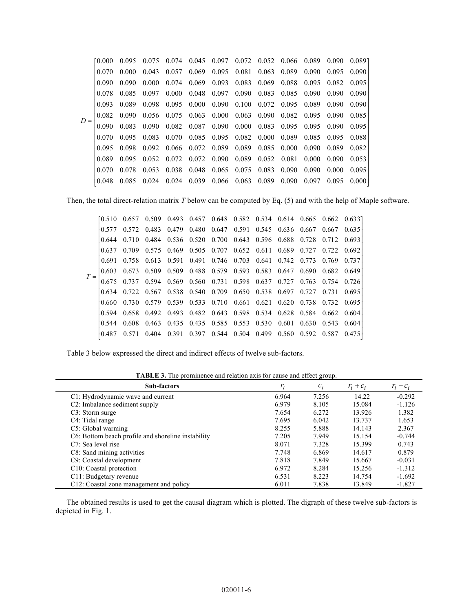|       | [0 000] | 0.095         |       | 0.075 0.074 0.045 0.097 0.072 0.052 0.066 0.089 0.090 0.089                     |  |                                                                                                 |  |                     |        |
|-------|---------|---------------|-------|---------------------------------------------------------------------------------|--|-------------------------------------------------------------------------------------------------|--|---------------------|--------|
|       | 0.070   | 0.000         | 0.043 | 0.057                                                                           |  | 0.069 0.095 0.081 0.063 0.089 0.090                                                             |  | $0.095 \quad 0.090$ |        |
|       | 0.090   | 0.090         | 0.000 | 0.074                                                                           |  | 0.069 0.093 0.083 0.069 0.088 0.095 0.082 0.095                                                 |  |                     |        |
|       | 0.078   | 0.085         | 0.097 | 0.000                                                                           |  | 0.048 0.097 0.090 0.083 0.085 0.090                                                             |  | 0.090               | 0.090  |
|       | 0.093   | 0.089         | 0.098 |                                                                                 |  | $0.095$ $0.000$ $0.090$ $0.100$ $0.072$ $0.095$ $0.089$ $0.090$                                 |  |                     | 0.090  |
| $D =$ |         | $0.082$ 0.090 |       | $0.056$ $0.075$ $0.063$ $0.000$ $0.063$ $0.090$ $0.082$ $0.095$ $0.090$ $0.085$ |  |                                                                                                 |  |                     |        |
|       | 0.090   | 0.083 0.090   |       |                                                                                 |  | $0.082\quad 0.087\quad 0.090\quad 0.000\quad 0.083\quad 0.095\quad 0.095\quad 0.090\quad 0.095$ |  |                     |        |
|       | 0.070   | 0.095         | 0.083 | 0.070                                                                           |  | 0.085 0.095 0.082 0.000 0.089 0.085 0.095 0.088                                                 |  |                     |        |
|       | 0.095   | 0.098         | 0.092 |                                                                                 |  | 0.066 0.072 0.089 0.089 0.085 0.000 0.090 0.089 0.082                                           |  |                     |        |
|       | 0.089   | 0.095         | 0.052 | 0.072                                                                           |  | 0.072 0.090 0.089 0.052 0.081 0.000 0.090                                                       |  |                     | 0.053  |
|       | 0.070   | 0.078         | 0.053 | 0.038                                                                           |  | 0.048 0.065 0.075 0.083 0.090 0.090 0.000                                                       |  |                     | 0.095  |
|       |         | 0.085         | 0.024 | $0.024$ $0.039$ $0.066$ $0.063$ $0.089$ $0.090$ $0.097$                         |  |                                                                                                 |  | 0.095               | 0.0001 |
|       |         |               |       |                                                                                 |  |                                                                                                 |  |                     |        |

Then, the total direct-relation matrix *T* below can be computed by Eq. (5) and with the help of Maple software.

|  | EO 510. | 0.657       | 0.509 |       |                         |  | 0.493 0.457 0.648 0.582 0.534 0.614 0.665 0.662 0.633]      |                   |       |
|--|---------|-------------|-------|-------|-------------------------|--|-------------------------------------------------------------|-------------------|-------|
|  | 0.577   | 0.572       | 0.483 | 0.479 |                         |  | 0.480 0.647 0.591 0.545 0.636 0.667 0.667 0.635             |                   |       |
|  | 0.644   | 0.710       | 0.484 |       |                         |  | 0.536 0.520 0.700 0.643 0.596 0.688 0.728 0.712 0.693       |                   |       |
|  | 0.637   | 0.709       | 0.575 | 0.469 |                         |  | 0.505 0.707 0.652 0.611 0.689 0.727 0.722 0.692             |                   |       |
|  | 0.691   | 0.758       | 0.613 |       |                         |  | 0.591 0.491 0.746 0.703 0.641 0.742 0.773 0.769             |                   | 0.737 |
|  | 0.603   | 0.673       | 0.509 |       |                         |  | 0.509 0.488 0.579 0.593 0.583 0.647 0.690 0.682 0.649       |                   |       |
|  |         | 0.675 0.737 | 0.594 |       |                         |  | 0.569 0.560 0.731 0.598 0.637 0.727 0.763 0.754 0.726       |                   |       |
|  |         | 0.634 0.722 |       |       |                         |  | 0.567 0.538 0.540 0.709 0.650 0.538 0.697 0.727 0.731 0.695 |                   |       |
|  | 0.660   | 0.730       | 0.579 |       |                         |  | 0.539 0.533 0.710 0.661 0.621 0.620 0.738 0.732 0.695       |                   |       |
|  | 0.594   | 0.658       | 0.492 | 0.493 |                         |  | 0.482 0.643 0.598 0.534 0.628 0.584 0.662 0.604             |                   |       |
|  | 0.544   | 0.608       | 0.463 | 0.435 |                         |  | 0.435 0.585 0.553 0.530 0.601 0.630 0.543 0.604             |                   |       |
|  |         |             | 0.404 | 0.391 | 0.397 0.544 0.504 0.499 |  |                                                             | 0.560 0.592 0.587 | 0.475 |

Table 3 below expressed the direct and indirect effects of twelve sub-factors.

**TABLE 3.** The prominence and relation axis for cause and effect group.

| <b>Sub-factors</b>                                 | $r_i$ | $c_i$ | $r_i + c_i$ | $r_i - c_i$ |
|----------------------------------------------------|-------|-------|-------------|-------------|
| C1: Hydrodynamic wave and current                  | 6.964 | 7.256 | 14.22       | $-0.292$    |
| C2: Imbalance sediment supply                      | 6.979 | 8.105 | 15.084      | $-1.126$    |
| C <sub>3</sub> : Storm surge                       | 7.654 | 6.272 | 13.926      | 1.382       |
| C4: Tidal range                                    | 7.695 | 6.042 | 13.737      | 1.653       |
| C5: Global warming                                 | 8.255 | 5.888 | 14.143      | 2.367       |
| C6: Bottom beach profile and shoreline instability | 7.205 | 7.949 | 15.154      | $-0.744$    |
| C7: Sea level rise                                 | 8.071 | 7.328 | 15.399      | 0.743       |
| C8: Sand mining activities                         | 7.748 | 6.869 | 14.617      | 0.879       |
| C9: Coastal development                            | 7.818 | 7.849 | 15.667      | $-0.031$    |
| C <sub>10</sub> : Coastal protection               | 6.972 | 8.284 | 15.256      | $-1.312$    |
| C11: Budgetary revenue                             | 6.531 | 8.223 | 14.754      | $-1.692$    |
| C12: Coastal zone management and policy            | 6.011 | 7.838 | 13.849      | $-1.827$    |

The obtained results is used to get the causal diagram which is plotted. The digraph of these twelve sub-factors is depicted in Fig. 1.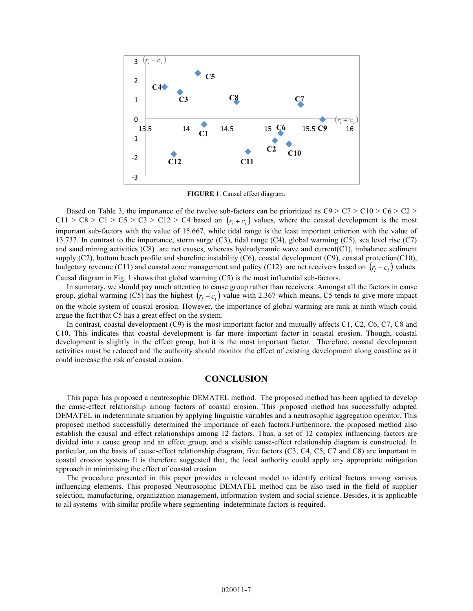

**FIGURE 1**. Causal effect diagram.

Based on Table 3, the importance of the twelve sub-factors can be prioritized as  $C9 > C7 > C10 > C6 > C2 >$  $C11 > C8 > C1 > C5 > C3 > C12 > C4$  based on  $(r_i + c_j)$  values, where the coastal development is the most important sub-factors with the value of 15.667, while tidal range is the least important criterion with the value of 13.737. In contrast to the importance, storm surge (C3), tidal range (C4), global warming (C5), sea level rise (C7) and sand mining activities (C8) are net causes, whereas hydrodynamic wave and current(C1), imbalance sediment supply (C2), bottom beach profile and shoreline instability (C6), coastal development (C9), coastal protection(C10), budgetary revenue (C11) and coastal zone management and policy (C12) are net receivers based on  $(r_i - c_i)$  values. Causal diagram in Fig. 1 shows that global warming (C5) is the most influential sub-factors.

In summary, we should pay much attention to cause group rather than receivers. Amongst all the factors in cause group, global warming (C5) has the highest  $(r_i - c_i)$  value with 2.367 which means, C5 tends to give more impact on the whole system of coastal erosion. However, the importance of global warming are rank at ninth which could argue the fact that C5 has a great effect on the system.

In contrast, coastal development (C9) is the most important factor and mutually affects C1, C2, C6, C7, C8 and C10. This indicates that coastal development is far more important factor in coastal erosion. Though, coastal development is slightly in the effect group, but it is the most important factor. Therefore, coastal development activities must be reduced and the authority should monitor the effect of existing development along coastline as it could increase the risk of coastal erosion.

### **CONCLUSION**

This paper has proposed a neutrosophic DEMATEL method. The proposed method has been applied to develop the cause-effect relationship among factors of coastal erosion. This proposed method has successfully adapted DEMATEL in indeterminate situation by applying linguistic variables and a neutrosophic aggregation operator. This proposed method successfully determined the importance of each factors.Furthermore, the proposed method also establish the causal and effect relationships among 12 factors. Thus, a set of 12 complex influencing factors are divided into a cause group and an effect group, and a visible cause-effect relationship diagram is constructed. In particular, on the basis of cause-effect relationship diagram, five factors (C3, C4, C5, C7 and C8) are important in coastal erosion system. It is therefore suggested that, the local authority could apply any appropriate mitigation approach in minimising the effect of coastal erosion.

The procedure presented in this paper provides a relevant model to identify critical factors among various influencing elements. This proposed Neutrosophic DEMATEL method can be also used in the field of supplier selection, manufacturing, organization management, information system and social science. Besides, it is applicable to all systems with similar profile where segmenting indeterminate factors is required.